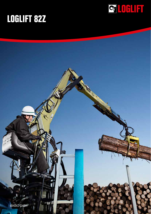

## **LOGLIFT 82Z**

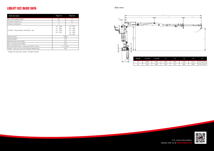## **LOGLIFT 82Z BASIC DATA**

| <b>Technical data</b>                                   | F82Z 72                                                      | F82Z 84                                                                     |
|---------------------------------------------------------|--------------------------------------------------------------|-----------------------------------------------------------------------------|
| Max. lifting capacity (kNm)                             | 82                                                           | 77                                                                          |
| Hydraulic outreach* (m)                                 | 7.2                                                          | 8.4                                                                         |
| Number of extensions                                    | 1                                                            | $\overline{2}$                                                              |
| Outreach - lifting capacity, standard (m - kg)          | $4.0 - 1820$<br>$5.0 - 1620$<br>$6.0 - 1380$<br>$6.9 - 1200$ | $4.0 - 1700$<br>$5.0 - 1500$<br>$6.0 - 1280$<br>$7.0 - 1080$<br>$8.0 - 920$ |
| Slewing system                                          | Single                                                       |                                                                             |
| Slewing angle (°)                                       | 415                                                          |                                                                             |
| Slewing torque, gross (kNm)                             | 18.2                                                         |                                                                             |
| Max. working pressure (MPa)                             | 23.5                                                         |                                                                             |
| Recommended oil flow – fixed pump (I/min), 2-pump       | $2 \times 50 - 60$                                           |                                                                             |
| Weight - High seat crane with standard stabilizer (kg)* | 1670                                                         |                                                                             |



| 1-1  | 1-2  | 1-3  | 1-4  | 1-5                    |
|------|------|------|------|------------------------|
| 2760 | 2720 | 1700 | 2145 | $\varnothing$ 45, B=80 |
| 2760 | 2770 | 2900 | 2060 | $\varnothing$ 45, B=80 |



\*Weight with fixed pump system, oil weight included

Side view